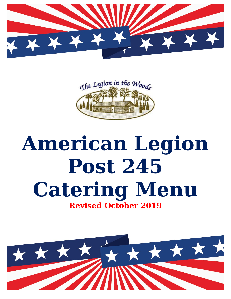



# **American Legion Post 245 Catering Menu Revised October 2019**

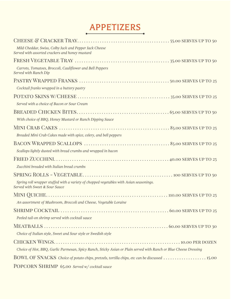# **APPETIZERS**

| Mild Cheddar, Swiss, Colby Jack and Pepper Jack Cheese<br>Served with assorted crackers and honey mustard                 |
|---------------------------------------------------------------------------------------------------------------------------|
|                                                                                                                           |
| Carrots, Tomatoes, Broccoli, Cauliflower and Bell Peppers<br>Served with Ranch Dip                                        |
|                                                                                                                           |
| Cocktail franks wrapped in a buttery pastry                                                                               |
| Served with a choice of Bacon or Sour Cream                                                                               |
| With choice of BBQ, Honey Mustard or Ranch Dipping Sauce                                                                  |
| Breaded Mini Crab Cakes made with spice, celery, and bell peppers                                                         |
| Scallops lightly dusted with bread crumbs and wrapped in bacon                                                            |
|                                                                                                                           |
| Zucchini breaded with Italian bread crumbs                                                                                |
|                                                                                                                           |
| Spring roll wrapper stuffed with a variety of chopped vegetables with Asian seasonings.<br>Served with Sweet & Sour Sauce |
|                                                                                                                           |
| An assortment of Mushroom, Broccoli and Cheese, Vegetable Loraine                                                         |
|                                                                                                                           |
| Peeled tail-on shrimp served with cocktail sauce                                                                          |
| Choice of Italian style, Sweet and Sour style or Swedish style                                                            |
|                                                                                                                           |
| Choice of Hot, BBQ, Garlic Parmesan, Spicy Ranch, Sticky Asian or Plain served with Ranch or Blue Cheese Dressing         |
| BOWL OF SNACKS Choice of potato chips, pretzels, tortilla chips, etc can be discussed  15.00                              |
| <b>POPCORN SHRIMP</b> 65.00 Served w/cocktoil squce                                                                       |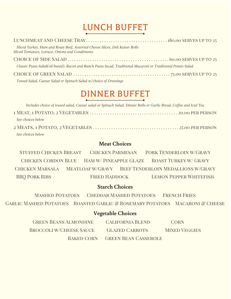# **LUNCH BUFFET**

| Sliced Turkey, Ham and Roast Beef, Assorted Cheese Slices, Deli Kaiser Rolls<br>Sliced Tomatoes, Lettuce, Onions and Condiments |
|---------------------------------------------------------------------------------------------------------------------------------|
|                                                                                                                                 |
| Classic Pasta Salad(oil based), Bacon and Ranch Pasta Sa;ad, Traditional Macaroni or Traditional Potato Salad                   |
|                                                                                                                                 |
| Tossed Salad, Caesar Salad or Spinach Salad w/choice of Dressings                                                               |

## **DINNER BUFFET**

| Includes choice of tossed salad, Caesar salad or Spinach Salad, Dinner Rolls or Garlic Bread, Coffee and Iced Tea |
|-------------------------------------------------------------------------------------------------------------------|
|                                                                                                                   |
| See choices below                                                                                                 |
|                                                                                                                   |
| See choices below                                                                                                 |

#### **Meat Choices**

**STUFFED CHICKEN BREAST CHICKEN PARMESAN** PORK TENDERLOIN W/GRAVY **CHICKEN CORDON BLUE** HAM W/ PINEAPPLE GLAZE **ROAST TURKEY W/ GRAVY** CHICKEN MARSALA MEATLOAF W/GRAVY BEEF TENDERLOIN MEDALLIONS W/GRAVY **BBQ PORK RIBS FRIED HADDOCK LEMON PEPPER WHITEFISH** 

#### **Starch Choices**

**MASHED POTATOES CHEDDAR MASHED POTATOES FRENCH FRIES** GARLIC MASHED POTATOES ROASTED GARLIC & ROSEMARY POTATOES MACARONI & CHEESE

#### **Vegetable Choices**

| <b>GREEN BEANS ALMONDINE</b>   | <b>CALIFORNIA BLEND</b>     | <b>CORN</b>          |
|--------------------------------|-----------------------------|----------------------|
| <b>BROCCOLI W/CHEESE SAUCE</b> | <b>GLAZED CARROTS</b>       | <b>MIXED VEGGIES</b> |
| <b>BAKED CORN</b>              | <b>GREEN BEAN CASSEROLE</b> |                      |